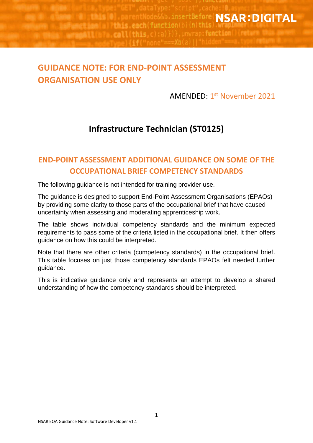ode&&b.insertBefore NSAR:DIGITAL Whenet Land all Tthis each (function (b) {n(this .call(this, c):a)})}, unwrap: function() (return \ **CONTINUES IN THE** 

## **GUIDANCE NOTE: FOR END-POINT ASSESSMENT ORGANISATION USE ONLY**

AMENDED: 1<sup>st</sup> November 2021

## **Infrastructure Technician (ST0125)**

## **END-POINT ASSESSMENT ADDITIONAL GUIDANCE ON SOME OF THE OCCUPATIONAL BRIEF COMPETENCY STANDARDS**

The following guidance is not intended for training provider use.

The guidance is designed to support End-Point Assessment Organisations (EPAOs) by providing some clarity to those parts of the occupational brief that have caused uncertainty when assessing and moderating apprenticeship work.

The table shows individual competency standards and the minimum expected requirements to pass some of the criteria listed in the occupational brief. It then offers guidance on how this could be interpreted.

Note that there are other criteria (competency standards) in the occupational brief. This table focuses on just those competency standards EPAOs felt needed further guidance.

This is indicative guidance only and represents an attempt to develop a shared understanding of how the competency standards should be interpreted.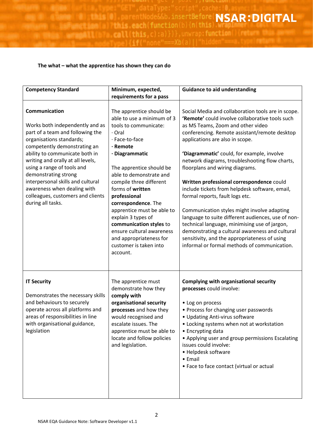**ALCOHOL:** 

.call(this, c):a)})}, unwrap: function() (return )

## **The what – what the apprentice has shown they can do**

**TELETRIS (OIL)** 

*Sources ALL Unit* 

barentNode&

**A Branch Lamia) Tthis each (function** (b) {n(this)

| <b>Competency Standard</b>                                                                                                                                                                                                                                                                                                                                                                                  | Minimum, expected,                                                                                                                                                                                                                                                                                                                                                                                                                                                  | <b>Guidance to aid understanding</b>                                                                                                                                                                                                                                                                                                                                                                                                                                                                                                                                                                                                                                                                                                                                                                          |
|-------------------------------------------------------------------------------------------------------------------------------------------------------------------------------------------------------------------------------------------------------------------------------------------------------------------------------------------------------------------------------------------------------------|---------------------------------------------------------------------------------------------------------------------------------------------------------------------------------------------------------------------------------------------------------------------------------------------------------------------------------------------------------------------------------------------------------------------------------------------------------------------|---------------------------------------------------------------------------------------------------------------------------------------------------------------------------------------------------------------------------------------------------------------------------------------------------------------------------------------------------------------------------------------------------------------------------------------------------------------------------------------------------------------------------------------------------------------------------------------------------------------------------------------------------------------------------------------------------------------------------------------------------------------------------------------------------------------|
|                                                                                                                                                                                                                                                                                                                                                                                                             | requirements for a pass                                                                                                                                                                                                                                                                                                                                                                                                                                             |                                                                                                                                                                                                                                                                                                                                                                                                                                                                                                                                                                                                                                                                                                                                                                                                               |
| Communication<br>Works both independently and as<br>part of a team and following the<br>organisations standards;<br>competently demonstrating an<br>ability to communicate both in<br>writing and orally at all levels,<br>using a range of tools and<br>demonstrating strong<br>interpersonal skills and cultural<br>awareness when dealing with<br>colleagues, customers and clients<br>during all tasks. | The apprentice should be<br>able to use a minimum of 3<br>tools to communicate:<br>· Oral<br>· Face-to-face<br>· Remote<br>· Diagrammatic<br>The apprentice should be<br>able to demonstrate and<br>compile three different<br>forms of written<br>professional<br>correspondence. The<br>apprentice must be able to<br>explain 3 types of<br>communication styles to<br>ensure cultural awareness<br>and appropriateness for<br>customer is taken into<br>account. | Social Media and collaboration tools are in scope.<br>'Remote' could involve collaborative tools such<br>as MS Teams, Zoom and other video<br>conferencing. Remote assistant/remote desktop<br>applications are also in scope.<br>'Diagrammatic' could, for example, involve<br>network diagrams, troubleshooting flow charts,<br>floorplans and wiring diagrams.<br>Written professional correspondence could<br>include tickets from helpdesk software, email,<br>formal reports, fault logs etc.<br>Communication styles might involve adapting<br>language to suite different audiences, use of non-<br>technical language, minimising use of jargon,<br>demonstrating a cultural awareness and cultural<br>sensitivity, and the appropriateness of using<br>informal or formal methods of communication. |
| <b>IT Security</b><br>Demonstrates the necessary skills<br>and behaviours to securely<br>operate across all platforms and<br>areas of responsibilities in line<br>with organisational guidance,<br>legislation                                                                                                                                                                                              | The apprentice must<br>demonstrate how they<br>comply with<br>organisational security<br>processes and how they<br>would recognised and<br>escalate issues. The<br>apprentice must be able to<br>locate and follow policies<br>and legislation.                                                                                                                                                                                                                     | <b>Complying with organisational security</b><br>processes could involve:<br>• Log on process<br>• Process for changing user passwords<br>• Updating Anti-virus software<br>• Locking systems when not at workstation<br>• Encrypting data<br>• Applying user and group permissions Escalating<br>issues could involve:<br>• Helpdesk software<br>• Email<br>• Face to face contact (virtual or actual                                                                                                                                                                                                                                                                                                                                                                                                        |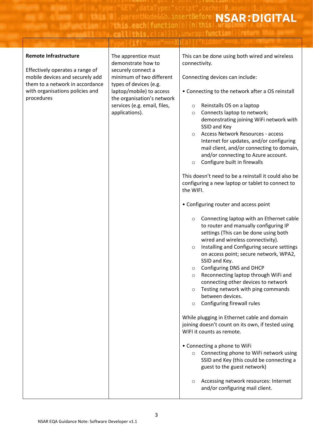rtaTvpe: **Example:** Strip (Second)<br>**Example: Strip (Second)** in (this)<br>And this and **SAR: DIGITAL** 

**CONTRACTOR** 

| <b>Remote Infrastructure</b>                                                                          | The apprentice must<br>demonstrate how to                                                                | This can be done using both wired and wireless<br>connectivity.                                                                                              |
|-------------------------------------------------------------------------------------------------------|----------------------------------------------------------------------------------------------------------|--------------------------------------------------------------------------------------------------------------------------------------------------------------|
| Effectively operates a range of<br>mobile devices and securely add<br>them to a network in accordance | securely connect a<br>minimum of two different<br>types of devices (e.g.                                 | Connecting devices can include:                                                                                                                              |
| with organisations policies and<br>procedures                                                         | laptop/mobile) to access<br>the organisation's network<br>services (e.g. email, files,<br>applications). | • Connecting to the network after a OS reinstall<br>Reinstalls OS on a laptop<br>O<br>Connects laptop to network;<br>$\circ$                                 |
|                                                                                                       |                                                                                                          | demonstrating joining WiFi network with<br>SSID and Key                                                                                                      |
|                                                                                                       |                                                                                                          | Access Network Resources - access<br>$\circ$<br>Internet for updates, and/or configuring<br>mail client, and/or connecting to domain,                        |
|                                                                                                       |                                                                                                          | and/or connecting to Azure account.<br>Configure built in firewalls<br>$\circ$                                                                               |
|                                                                                                       |                                                                                                          | This doesn't need to be a reinstall it could also be<br>configuring a new laptop or tablet to connect to<br>the WIFI.                                        |
|                                                                                                       |                                                                                                          | • Configuring router and access point                                                                                                                        |
|                                                                                                       |                                                                                                          | Connecting laptop with an Ethernet cable<br>$\circ$<br>to router and manually configuring IP<br>settings (This can be done using both                        |
|                                                                                                       |                                                                                                          | wired and wireless connectivity).<br>Installing and Configuring secure settings<br>$\circ$<br>on access point; secure network, WPA2,                         |
|                                                                                                       |                                                                                                          | SSID and Key.<br>$\circ$ Configuring DNS and DHCP                                                                                                            |
|                                                                                                       |                                                                                                          | Reconnecting laptop through WiFi and<br>$\circ$<br>connecting other devices to network<br>Testing network with ping commands                                 |
|                                                                                                       |                                                                                                          | O<br>between devices.<br>Configuring firewall rules<br>O                                                                                                     |
|                                                                                                       |                                                                                                          | While plugging in Ethernet cable and domain<br>joining doesn't count on its own, if tested using                                                             |
|                                                                                                       |                                                                                                          | WIFI it counts as remote.                                                                                                                                    |
|                                                                                                       |                                                                                                          | • Connecting a phone to WiFi<br>Connecting phone to WiFi network using<br>$\circ$<br>SSID and Key (this could be connecting a<br>guest to the guest network) |
|                                                                                                       |                                                                                                          | Accessing network resources: Internet<br>$\circ$<br>and/or configuring mail client.                                                                          |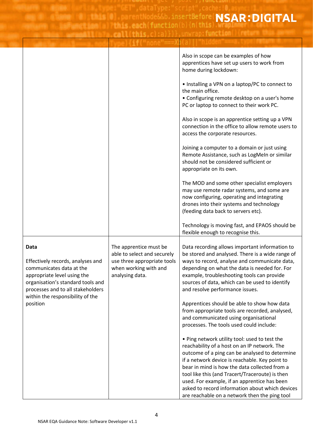tBefore NSAR: DIGITAL invrantfunction

7 H

|                                                                                                                                                                                                                                |                                                                                                                                  | Also in scope can be examples of how<br>apprentices have set up users to work from<br>home during lockdown:<br>• Installing a VPN on a laptop/PC to connect to<br>the main office.<br>• Configuring remote desktop on a user's home<br>PC or laptop to connect to their work PC.<br>Also in scope is an apprentice setting up a VPN<br>connection in the office to allow remote users to<br>access the corporate resources.<br>Joining a computer to a domain or just using<br>Remote Assistance, such as LogMeIn or similar<br>should not be considered sufficient or<br>appropriate on its own.<br>The MOD and some other specialist employers<br>may use remote radar systems, and some are<br>now configuring, operating and integrating                                                                                                                                                                                                                                                                                     |
|--------------------------------------------------------------------------------------------------------------------------------------------------------------------------------------------------------------------------------|----------------------------------------------------------------------------------------------------------------------------------|----------------------------------------------------------------------------------------------------------------------------------------------------------------------------------------------------------------------------------------------------------------------------------------------------------------------------------------------------------------------------------------------------------------------------------------------------------------------------------------------------------------------------------------------------------------------------------------------------------------------------------------------------------------------------------------------------------------------------------------------------------------------------------------------------------------------------------------------------------------------------------------------------------------------------------------------------------------------------------------------------------------------------------|
|                                                                                                                                                                                                                                |                                                                                                                                  | drones into their systems and technology<br>(feeding data back to servers etc).<br>Technology is moving fast, and EPAOS should be                                                                                                                                                                                                                                                                                                                                                                                                                                                                                                                                                                                                                                                                                                                                                                                                                                                                                                |
| Data<br>Effectively records, analyses and<br>communicates data at the<br>appropriate level using the<br>organisation's standard tools and<br>processes and to all stakeholders<br>within the responsibility of the<br>position | The apprentice must be<br>able to select and securely<br>use three appropriate tools<br>when working with and<br>analysing data. | flexible enough to recognise this.<br>Data recording allows important information to<br>be stored and analysed. There is a wide range of<br>ways to record, analyse and communicate data,<br>depending on what the data is needed for. For<br>example, troubleshooting tools can provide<br>sources of data, which can be used to identify<br>and resolve performance issues.<br>Apprentices should be able to show how data<br>from appropriate tools are recorded, analysed,<br>and communicated using organisational<br>processes. The tools used could include:<br>. Ping network utility tool: used to test the<br>reachability of a host on an IP network. The<br>outcome of a ping can be analysed to determine<br>if a network device is reachable. Key point to<br>bear in mind is how the data collected from a<br>tool like this (and Tracert/Traceroute) is then<br>used. For example, if an apprentice has been<br>asked to record information about which devices<br>are reachable on a network then the ping tool |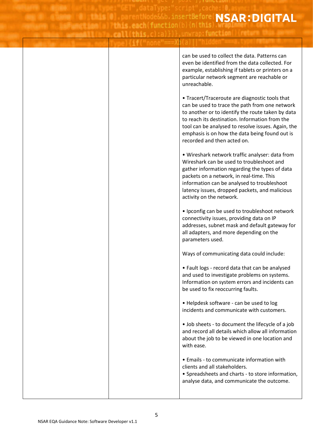insertBefore( NSAR: DIGITAL this each function (b) in this

**AAII This Clialli, UNWEBUTURCT** 

can be used to collect the data. Patterns can even be identified from the data collected. For example, establishing if tablets or printers on a particular network segment are reachable or unreachable. • Tracert/Traceroute are diagnostic tools that can be used to trace the path from one network to another or to identify the route taken by data to reach its destination. Information from the tool can be analysed to resolve issues. Again, the emphasis is on how the data being found out is recorded and then acted on. • Wireshark network traffic analyser: data from Wireshark can be used to troubleshoot and gather information regarding the types of data packets on a network, in real-time. This information can be analysed to troubleshoot latency issues, dropped packets, and malicious activity on the network. • Ipconfig can be used to troubleshoot network connectivity issues, providing data on IP addresses, subnet mask and default gateway for all adapters, and more depending on the parameters used. Ways of communicating data could include: • Fault logs - record data that can be analysed and used to investigate problems on systems. Information on system errors and incidents can be used to fix reoccurring faults. • Helpdesk software - can be used to log incidents and communicate with customers. • Job sheets - to document the lifecycle of a job and record all details which allow all information about the job to be viewed in one location and with ease. • Emails - to communicate information with clients and all stakeholders. • Spreadsheets and charts - to store information, analyse data, and communicate the outcome.